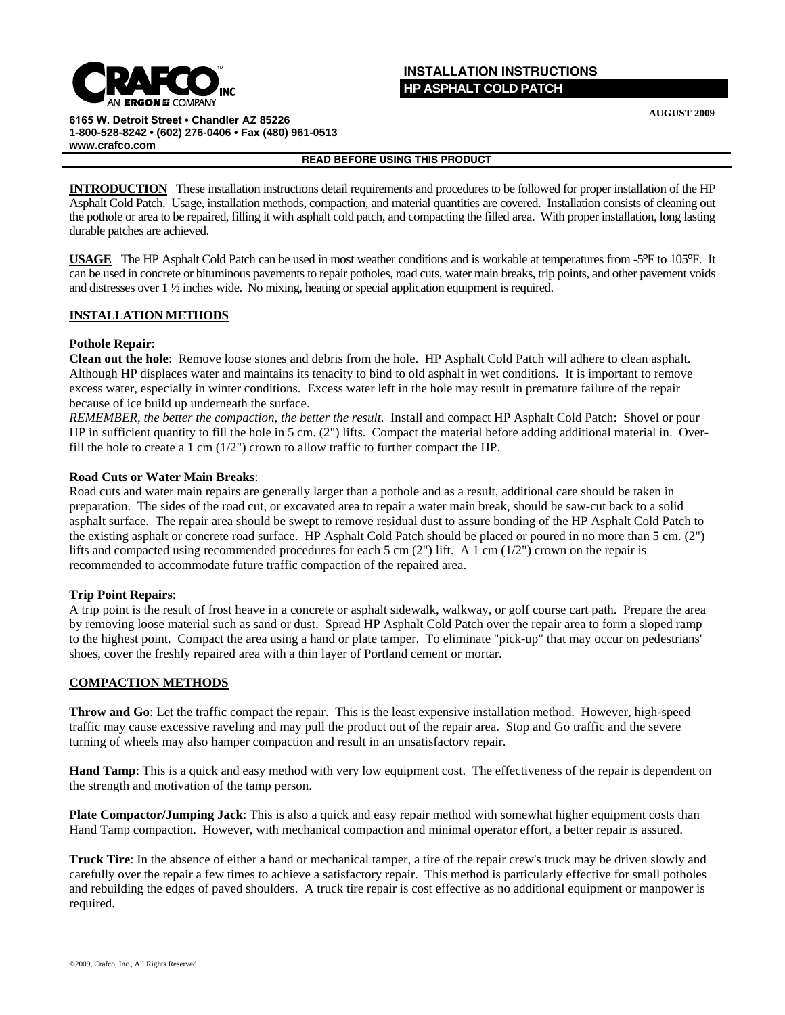

# **INSTALLATION INSTRUCTIONS HP ASPHALT COLD PATCH**

**AUGUST 2009**

**6165 W. Detroit Street • Chandler AZ 85226 1-800-528-8242 • (602) 276-0406 • Fax (480) 961-0513 www.crafco.com**

### **READ BEFORE USING THIS PRODUCT**

**INTRODUCTION** These installation instructions detail requirements and procedures to be followed for proper installation of the HP Asphalt Cold Patch. Usage, installation methods, compaction, and material quantities are covered. Installation consists of cleaning out the pothole or area to be repaired, filling it with asphalt cold patch, and compacting the filled area. With proper installation, long lasting durable patches are achieved.

**USAGE** The HP Asphalt Cold Patch can be used in most weather conditions and is workable at temperatures from -5ºF to 105ºF. It can be used in concrete or bituminous pavements to repair potholes, road cuts, water main breaks, trip points, and other pavement voids and distresses over 1 ½ inches wide. No mixing, heating or special application equipment is required.

## **INSTALLATION METHODS**

## **Pothole Repair**:

**Clean out the hole**: Remove loose stones and debris from the hole. HP Asphalt Cold Patch will adhere to clean asphalt. Although HP displaces water and maintains its tenacity to bind to old asphalt in wet conditions. It is important to remove excess water, especially in winter conditions. Excess water left in the hole may result in premature failure of the repair because of ice build up underneath the surface.

*REMEMBER, the better the compaction, the better the result*. Install and compact HP Asphalt Cold Patch: Shovel or pour HP in sufficient quantity to fill the hole in 5 cm. (2") lifts. Compact the material before adding additional material in. Overfill the hole to create a 1 cm (1/2") crown to allow traffic to further compact the HP.

## **Road Cuts or Water Main Breaks**:

Road cuts and water main repairs are generally larger than a pothole and as a result, additional care should be taken in preparation. The sides of the road cut, or excavated area to repair a water main break, should be saw-cut back to a solid asphalt surface. The repair area should be swept to remove residual dust to assure bonding of the HP Asphalt Cold Patch to the existing asphalt or concrete road surface. HP Asphalt Cold Patch should be placed or poured in no more than 5 cm. (2") lifts and compacted using recommended procedures for each 5 cm (2") lift. A 1 cm (1/2") crown on the repair is recommended to accommodate future traffic compaction of the repaired area.

## **Trip Point Repairs**:

A trip point is the result of frost heave in a concrete or asphalt sidewalk, walkway, or golf course cart path. Prepare the area by removing loose material such as sand or dust. Spread HP Asphalt Cold Patch over the repair area to form a sloped ramp to the highest point. Compact the area using a hand or plate tamper. To eliminate "pick-up" that may occur on pedestrians' shoes, cover the freshly repaired area with a thin layer of Portland cement or mortar.

## **COMPACTION METHODS**

**Throw and Go**: Let the traffic compact the repair. This is the least expensive installation method. However, high-speed traffic may cause excessive raveling and may pull the product out of the repair area. Stop and Go traffic and the severe turning of wheels may also hamper compaction and result in an unsatisfactory repair.

**Hand Tamp**: This is a quick and easy method with very low equipment cost. The effectiveness of the repair is dependent on the strength and motivation of the tamp person.

**Plate Compactor/Jumping Jack**: This is also a quick and easy repair method with somewhat higher equipment costs than Hand Tamp compaction. However, with mechanical compaction and minimal operator effort, a better repair is assured.

**Truck Tire**: In the absence of either a hand or mechanical tamper, a tire of the repair crew's truck may be driven slowly and carefully over the repair a few times to achieve a satisfactory repair. This method is particularly effective for small potholes and rebuilding the edges of paved shoulders. A truck tire repair is cost effective as no additional equipment or manpower is required.